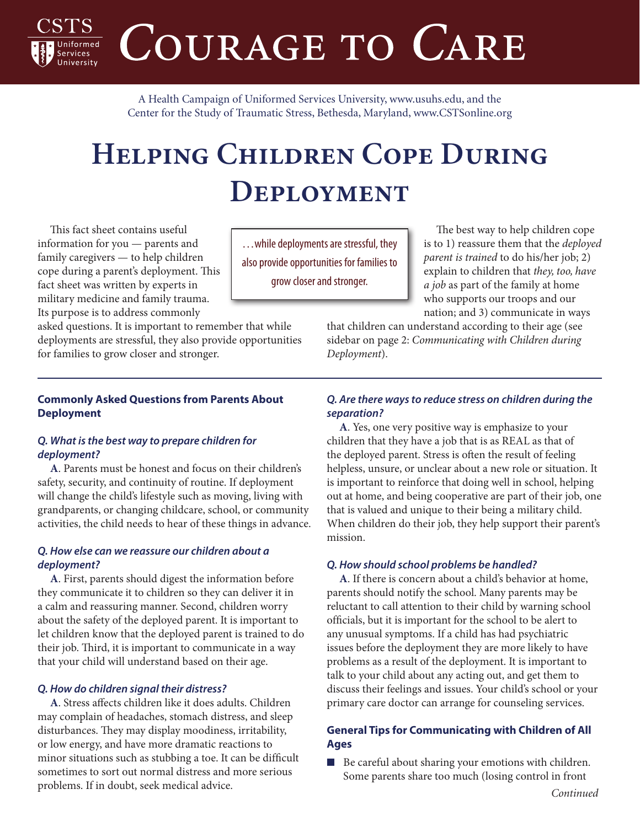COURAGE TO CARE

A Health Campaign of Uniformed Services University, [www.usuhs.edu,](http://www.usuhs.edu) and the Center for the Study of Traumatic Stress, Bethesda, Maryland, [www.CSTSonline.org](http://www.cstsonline.org)

# **Helping Children Cope During Deployment**

This fact sheet contains useful information for you — parents and family caregivers — to help children cope during a parent's deployment. This fact sheet was written by experts in military medicine and family trauma. Its purpose is to address commonly

ervices

asked questions. It is important to remember that while deployments are stressful, they also provide opportunities for families to grow closer and stronger.

# **Commonly Asked Questions from Parents About Deployment**

## *Q. What is the best way to prepare children for deployment?*

**A**. Parents must be honest and focus on their children's safety, security, and continuity of routine. If deployment will change the child's lifestyle such as moving, living with grandparents, or changing childcare, school, or community activities, the child needs to hear of these things in advance.

# *Q. How else can we reassure our children about a deployment?*

**A**. First, parents should digest the information before they communicate it to children so they can deliver it in a calm and reassuring manner. Second, children worry about the safety of the deployed parent. It is important to let children know that the deployed parent is trained to do their job. Third, it is important to communicate in a way that your child will understand based on their age.

# *Q. How do children signal their distress?*

**A**. Stress affects children like it does adults. Children may complain of headaches, stomach distress, and sleep disturbances. They may display moodiness, irritability, or low energy, and have more dramatic reactions to minor situations such as stubbing a toe. It can be difficult sometimes to sort out normal distress and more serious problems. If in doubt, seek medical advice.

…while deployments are stressful, they also provide opportunities for families to grow closer and stronger.

The best way to help children cope is to 1) reassure them that the *deployed parent is trained* to do his/her job; 2) explain to children that *they, too, have a job* as part of the family at home who supports our troops and our nation; and 3) communicate in ways

that children can understand according to their age (see sidebar on page 2: *Communicating with Children during Deployment*).

# *Q. Are there ways to reduce stress on children during the separation?*

**A**. Yes, one very positive way is emphasize to your children that they have a job that is as REAL as that of the deployed parent. Stress is often the result of feeling helpless, unsure, or unclear about a new role or situation. It is important to reinforce that doing well in school, helping out at home, and being cooperative are part of their job, one that is valued and unique to their being a military child. When children do their job, they help support their parent's mission.

# *Q. How should school problems be handled?*

**A**. If there is concern about a child's behavior at home, parents should notify the school. Many parents may be reluctant to call attention to their child by warning school officials, but it is important for the school to be alert to any unusual symptoms. If a child has had psychiatric issues before the deployment they are more likely to have problems as a result of the deployment. It is important to talk to your child about any acting out, and get them to discuss their feelings and issues. Your child's school or your primary care doctor can arrange for counseling services.

# **General Tips for Communicating with Children of All Ages**

■ Be careful about sharing your emotions with children. Some parents share too much (losing control in front